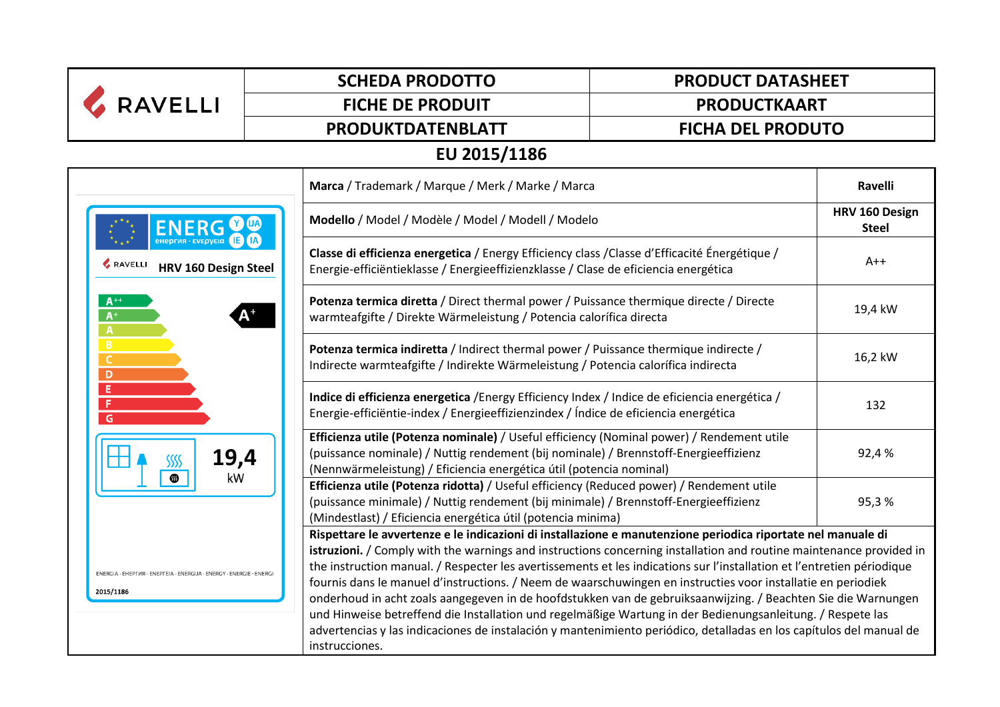| <b>RAVELLI</b>                                                                   | <b>SCHEDA PRODOTTO</b>  | <b>PRODUCT DATASHEET</b>                                                                                                                                                                                                                                                                                                                                                                                                                                                                                                                                                                                                                                                                                                                                                                                                                              |  |  |  |  |  |
|----------------------------------------------------------------------------------|-------------------------|-------------------------------------------------------------------------------------------------------------------------------------------------------------------------------------------------------------------------------------------------------------------------------------------------------------------------------------------------------------------------------------------------------------------------------------------------------------------------------------------------------------------------------------------------------------------------------------------------------------------------------------------------------------------------------------------------------------------------------------------------------------------------------------------------------------------------------------------------------|--|--|--|--|--|
|                                                                                  | <b>FICHE DE PRODUIT</b> | <b>PRODUCTKAART</b>                                                                                                                                                                                                                                                                                                                                                                                                                                                                                                                                                                                                                                                                                                                                                                                                                                   |  |  |  |  |  |
|                                                                                  | PRODUKTDATENBLATT       | <b>FICHA DEL PRODUTO</b>                                                                                                                                                                                                                                                                                                                                                                                                                                                                                                                                                                                                                                                                                                                                                                                                                              |  |  |  |  |  |
| EU 2015/1186                                                                     |                         |                                                                                                                                                                                                                                                                                                                                                                                                                                                                                                                                                                                                                                                                                                                                                                                                                                                       |  |  |  |  |  |
|                                                                                  |                         | Marca / Trademark / Marque / Merk / Marke / Marca                                                                                                                                                                                                                                                                                                                                                                                                                                                                                                                                                                                                                                                                                                                                                                                                     |  |  |  |  |  |
| <b>ENERG</b>                                                                     |                         | Modello / Model / Modèle / Model / Modell / Modelo                                                                                                                                                                                                                                                                                                                                                                                                                                                                                                                                                                                                                                                                                                                                                                                                    |  |  |  |  |  |
| RAVELLI<br><b>HRV 160 Design Steel</b>                                           |                         | Classe di efficienza energetica / Energy Efficiency class / Classe d'Efficacité Énergétique /<br>Energie-efficiëntieklasse / Energieeffizienzklasse / Clase de eficiencia energética                                                                                                                                                                                                                                                                                                                                                                                                                                                                                                                                                                                                                                                                  |  |  |  |  |  |
| $A^{++}$<br>$A^+$<br>$\mathbf{A}$                                                |                         | Potenza termica diretta / Direct thermal power / Puissance thermique directe / Directe<br>warmteafgifte / Direkte Wärmeleistung / Potencia calorífica directa                                                                                                                                                                                                                                                                                                                                                                                                                                                                                                                                                                                                                                                                                         |  |  |  |  |  |
| B<br>$\mathsf{C}$<br>$\mathbf{D}$                                                |                         | Potenza termica indiretta / Indirect thermal power / Puissance thermique indirecte /<br>Indirecte warmteafgifte / Indirekte Wärmeleistung / Potencia calorífica indirecta                                                                                                                                                                                                                                                                                                                                                                                                                                                                                                                                                                                                                                                                             |  |  |  |  |  |
| Ε<br>F<br>G                                                                      |                         | Indice di efficienza energetica /Energy Efficiency Index / Indice de eficiencia energética /<br>Energie-efficiëntie-index / Energieeffizienzindex / Índice de eficiencia energética                                                                                                                                                                                                                                                                                                                                                                                                                                                                                                                                                                                                                                                                   |  |  |  |  |  |
| 19,4<br>SSSS<br>kW<br><b>SS</b>                                                  |                         | Efficienza utile (Potenza nominale) / Useful efficiency (Nominal power) / Rendement utile<br>(puissance nominale) / Nuttig rendement (bij nominale) / Brennstoff-Energieeffizienz<br>(Nennwärmeleistung) / Eficiencia energética útil (potencia nominal)                                                                                                                                                                                                                                                                                                                                                                                                                                                                                                                                                                                              |  |  |  |  |  |
|                                                                                  |                         | Efficienza utile (Potenza ridotta) / Useful efficiency (Reduced power) / Rendement utile<br>(puissance minimale) / Nuttig rendement (bij minimale) / Brennstoff-Energieeffizienz<br>(Mindestlast) / Eficiencia energética útil (potencia minima)                                                                                                                                                                                                                                                                                                                                                                                                                                                                                                                                                                                                      |  |  |  |  |  |
| ENERGIA · EHEPFIA · ENEPFEIA · ENERGIJA · ENERGY · ENERGIE · ENERGI<br>2015/1186 |                         | Rispettare le avvertenze e le indicazioni di installazione e manutenzione periodica riportate nel manuale di<br>istruzioni. / Comply with the warnings and instructions concerning installation and routine maintenance provided in<br>the instruction manual. / Respecter les avertissements et les indications sur l'installation et l'entretien périodique<br>fournis dans le manuel d'instructions. / Neem de waarschuwingen en instructies voor installatie en periodiek<br>onderhoud in acht zoals aangegeven in de hoofdstukken van de gebruiksaanwijzing. / Beachten Sie die Warnungen<br>und Hinweise betreffend die Installation und regelmäßige Wartung in der Bedienungsanleitung. / Respete las<br>advertencias y las indicaciones de instalación y mantenimiento periódico, detalladas en los capítulos del manual de<br>instrucciones. |  |  |  |  |  |